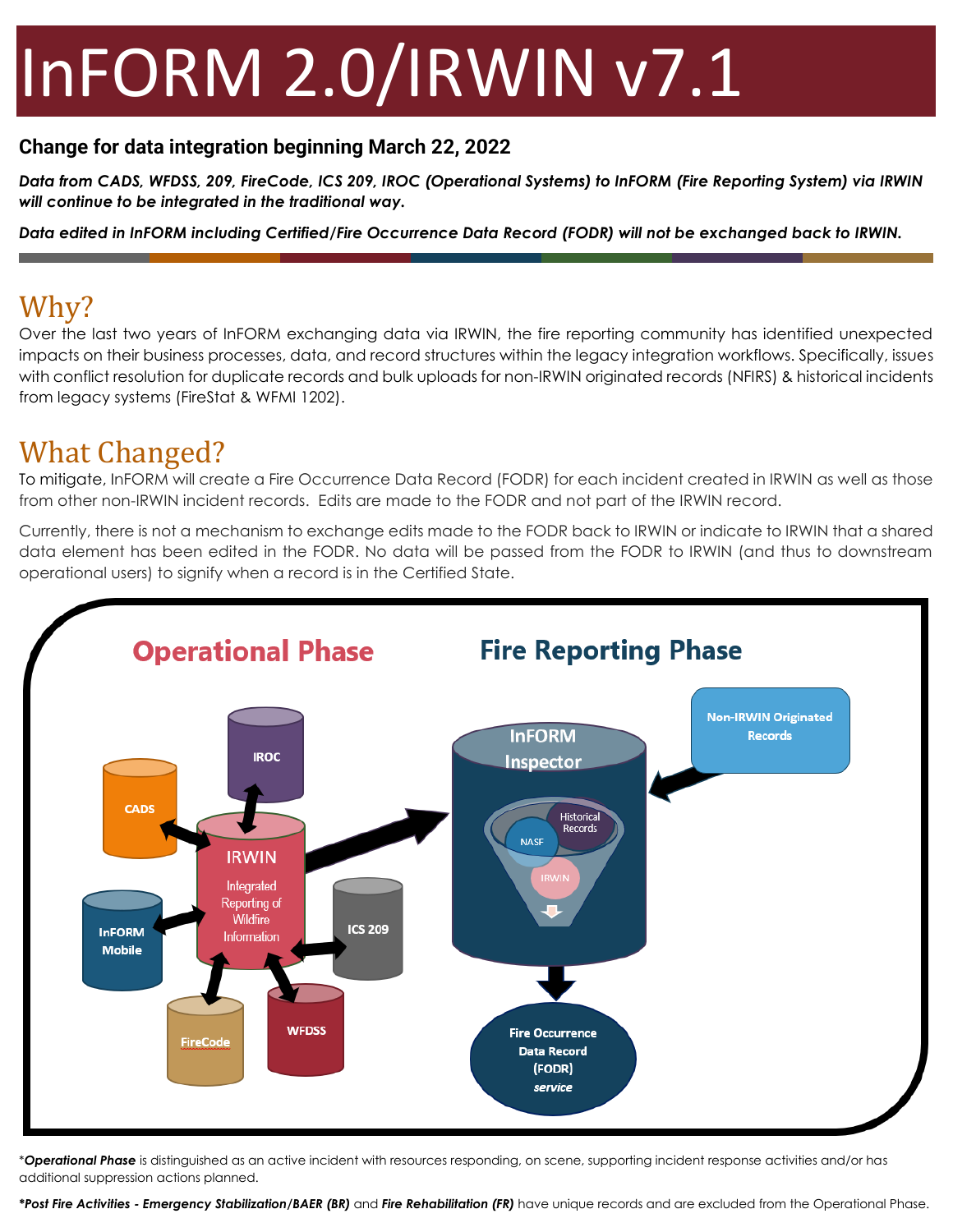# InFORM 2.0/IRWIN v7.1

#### **Change for data integration beginning March 22, 2022**

*Data from CADS, WFDSS, 209, FireCode, ICS 209, IROC (Operational Systems) to InFORM (Fire Reporting System) via IRWIN will continue to be integrated in the traditional way.*

*Data edited in InFORM including Certified/Fire Occurrence Data Record (FODR) will not be exchanged back to IRWIN.*

### Why?

Over the last two years of InFORM exchanging data via IRWIN, the fire reporting community has identified unexpected impacts on their business processes, data, and record structures within the legacy integration workflows. Specifically, issues with conflict resolution for duplicate records and bulk uploads for non-IRWIN originated records (NFIRS) & historical incidents from legacy systems (FireStat & WFMI 1202).

#### What Changed?

To mitigate, InFORM will create a Fire Occurrence Data Record (FODR) for each incident created in IRWIN as well as those from other non-IRWIN incident records. Edits are made to the FODR and not part of the IRWIN record.

Currently, there is not a mechanism to exchange edits made to the FODR back to IRWIN or indicate to IRWIN that a shared data element has been edited in the FODR. No data will be passed from the FODR to IRWIN (and thus to downstream operational users) to signify when a record is in the Certified State.



\**Operational Phase* is distinguished as an active incident with resources responding, on scene, supporting incident response activities and/or has additional suppression actions planned.

*\*Post Fire Activities - Emergency Stabilization/BAER (BR)* and *Fire Rehabilitation (FR)* have unique records and are excluded from the Operational Phase.